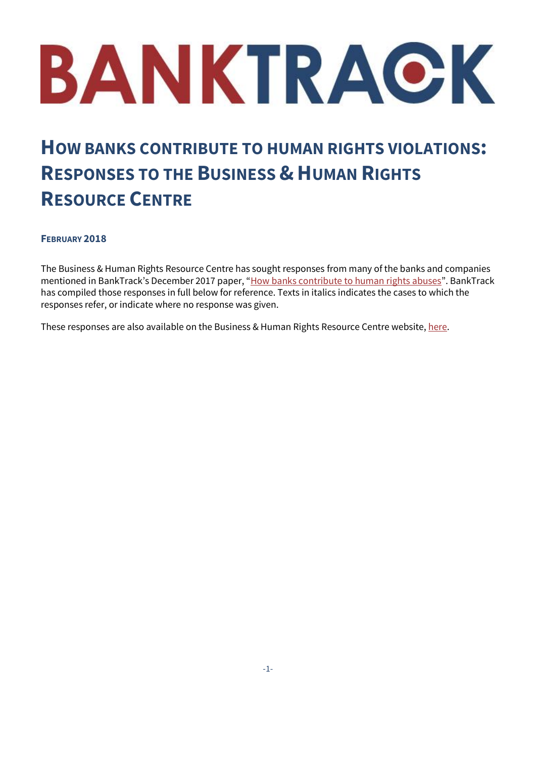# BANKTRACK

## **HOW BANKS CONTRIBUTE TO HUMAN RIGHTS VIOLATIONS: RESPONSES TO THE BUSINESS & HUMAN RIGHTS RESOURCE CENTRE**

#### **FEBRUARY 2018**

The Business & Human Rights Resource Centre has sought responses from many of the banks and companies mentioned in BankTrack's December 2017 paper, "[How banks contribute to human rights abuses](https://www.banktrack.org/download/how_banks_contribute_to_human_rights_abuses/180110_how_banks_contribute_human_rights.pdf)". BankTrack has compiled those responses in full below for reference. Texts in italics indicates the cases to which the responses refer, or indicate where no response was given.

These responses are also available on the Business & Human Rights Resource Centre website[, here.](https://business-humanrights.org/en/banktrack-paper-explores-responsibilities-of-banks-allegedly-contributing-to-human-rights-violations-through-finance)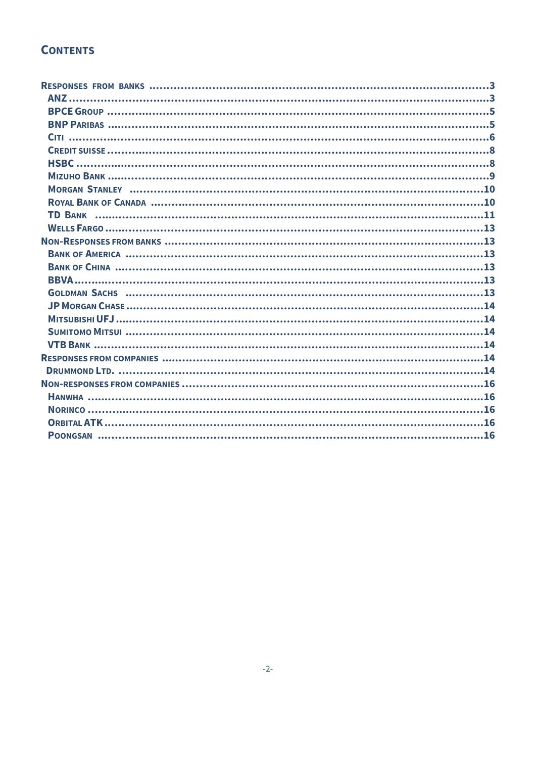### **CONTENTS**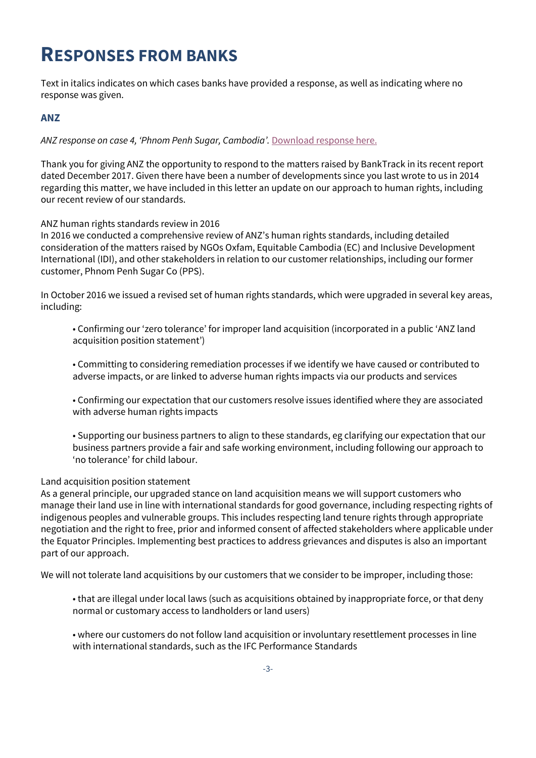## <span id="page-2-0"></span>**RESPONSES FROM BANKS**

Text in italics indicates on which cases banks have provided a response, as well as indicating where no response was given.

#### <span id="page-2-1"></span>**ANZ**

*ANZ response on case 4, 'Phnom Penh Sugar, Cambodia'.* [Download response here.](https://business-humanrights.org/sites/all/modules/fb_components/ajax/sites/default/files/documents/ANZ%20response_15%20January%202018_2.pdf)

Thank you for giving ANZ the opportunity to respond to the matters raised by BankTrack in its recent report dated December 2017. Given there have been a number of developments since you last wrote to us in 2014 regarding this matter, we have included in this letter an update on our approach to human rights, including our recent review of our standards.

#### ANZ human rights standards review in 2016

In 2016 we conducted a comprehensive review of ANZ's human rights standards, including detailed consideration of the matters raised by NGOs Oxfam, Equitable Cambodia (EC) and Inclusive Development International (IDI), and other stakeholders in relation to our customer relationships, including our former customer, Phnom Penh Sugar Co (PPS).

In October 2016 we issued a revised set of human rights standards, which were upgraded in several key areas, including:

• Confirming our 'zero tolerance' for improper land acquisition (incorporated in a public 'ANZ land acquisition position statement')

• Committing to considering remediation processes if we identify we have caused or contributed to adverse impacts, or are linked to adverse human rights impacts via our products and services

• Confirming our expectation that our customers resolve issues identified where they are associated with adverse human rights impacts

• Supporting our business partners to align to these standards, eg clarifying our expectation that our business partners provide a fair and safe working environment, including following our approach to 'no tolerance' for child labour.

#### Land acquisition position statement

As a general principle, our upgraded stance on land acquisition means we will support customers who manage their land use in line with international standards for good governance, including respecting rights of indigenous peoples and vulnerable groups. This includes respecting land tenure rights through appropriate negotiation and the right to free, prior and informed consent of affected stakeholders where applicable under the Equator Principles. Implementing best practices to address grievances and disputes is also an important part of our approach.

We will not tolerate land acquisitions by our customers that we consider to be improper, including those:

• that are illegal under local laws (such as acquisitions obtained by inappropriate force, or that deny normal or customary access to landholders or land users)

• where our customers do not follow land acquisition or involuntary resettlement processes in line with international standards, such as the IFC Performance Standards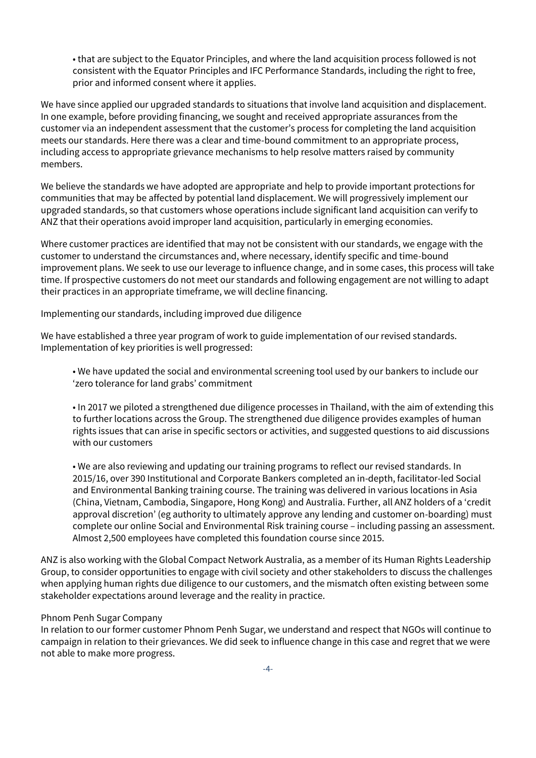• that are subject to the Equator Principles, and where the land acquisition process followed is not consistent with the Equator Principles and IFC Performance Standards, including the right to free, prior and informed consent where it applies.

We have since applied our upgraded standards to situations that involve land acquisition and displacement. In one example, before providing financing, we sought and received appropriate assurances from the customer via an independent assessment that the customer's process for completing the land acquisition meets our standards. Here there was a clear and time-bound commitment to an appropriate process, including access to appropriate grievance mechanisms to help resolve matters raised by community members.

We believe the standards we have adopted are appropriate and help to provide important protections for communities that may be affected by potential land displacement. We will progressively implement our upgraded standards, so that customers whose operations include significant land acquisition can verify to ANZ that their operations avoid improper land acquisition, particularly in emerging economies.

Where customer practices are identified that may not be consistent with our standards, we engage with the customer to understand the circumstances and, where necessary, identify specific and time-bound improvement plans. We seek to use our leverage to influence change, and in some cases, this process will take time. If prospective customers do not meet our standards and following engagement are not willing to adapt their practices in an appropriate timeframe, we will decline financing.

Implementing our standards, including improved due diligence

We have established a three year program of work to guide implementation of our revised standards. Implementation of key priorities is well progressed:

• We have updated the social and environmental screening tool used by our bankers to include our 'zero tolerance for land grabs' commitment

• In 2017 we piloted a strengthened due diligence processes in Thailand, with the aim of extending this to further locations across the Group. The strengthened due diligence provides examples of human rights issues that can arise in specific sectors or activities, and suggested questions to aid discussions with our customers

• We are also reviewing and updating our training programs to reflect our revised standards. In 2015/16, over 390 Institutional and Corporate Bankers completed an in-depth, facilitator-led Social and Environmental Banking training course. The training was delivered in various locations in Asia (China, Vietnam, Cambodia, Singapore, Hong Kong) and Australia. Further, all ANZ holders of a 'credit approval discretion' (eg authority to ultimately approve any lending and customer on-boarding) must complete our online Social and Environmental Risk training course – including passing an assessment. Almost 2,500 employees have completed this foundation course since 2015.

ANZ is also working with the Global Compact Network Australia, as a member of its Human Rights Leadership Group, to consider opportunities to engage with civil society and other stakeholders to discuss the challenges when applying human rights due diligence to our customers, and the mismatch often existing between some stakeholder expectations around leverage and the reality in practice.

#### Phnom Penh Sugar Company

In relation to our former customer Phnom Penh Sugar, we understand and respect that NGOs will continue to campaign in relation to their grievances. We did seek to influence change in this case and regret that we were not able to make more progress.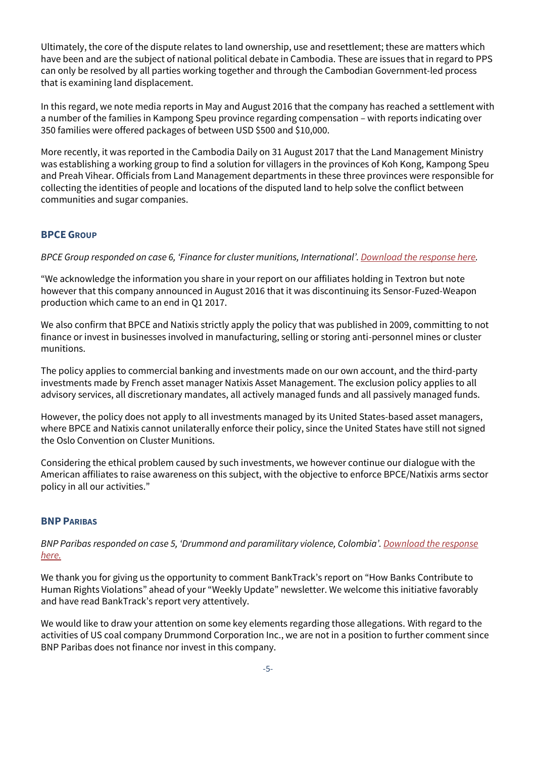Ultimately, the core of the dispute relates to land ownership, use and resettlement; these are matters which have been and are the subject of national political debate in Cambodia. These are issues that in regard to PPS can only be resolved by all parties working together and through the Cambodian Government-led process that is examining land displacement.

In this regard, we note media reports in May and August 2016 that the company has reached a settlement with a number of the families in Kampong Speu province regarding compensation – with reports indicating over 350 families were offered packages of between USD \$500 and \$10,000.

More recently, it was reported in the Cambodia Daily on 31 August 2017 that the Land Management Ministry was establishing a working group to find a solution for villagers in the provinces of Koh Kong, Kampong Speu and Preah Vihear. Officials from Land Management departments in these three provinces were responsible for collecting the identities of people and locations of the disputed land to help solve the conflict between communities and sugar companies.

#### <span id="page-4-0"></span>**BPCE GROUP**

*BPCE Group responded on case 6, 'Finance for cluster munitions, International'. [Download the response here.](https://www.business-humanrights.org/sites/default/files/documents/Groupe%20BPCE%20response_15%20January%202018_0.pdf)*

"We acknowledge the information you share in your report on our affiliates holding in Textron but note however that this company announced in August 2016 that it was discontinuing its Sensor-Fuzed-Weapon production which came to an end in Q1 2017.

We also confirm that BPCE and Natixis strictly apply the policy that was published in 2009, committing to not finance or invest in businesses involved in manufacturing, selling or storing anti-personnel mines or cluster munitions.

The policy applies to commercial banking and investments made on our own account, and the third-party investments made by French asset manager Natixis Asset Management. The exclusion policy applies to all advisory services, all discretionary mandates, all actively managed funds and all passively managed funds.

However, the policy does not apply to all investments managed by its United States-based asset managers, where BPCE and Natixis cannot unilaterally enforce their policy, since the United States have still not signed the Oslo Convention on Cluster Munitions.

Considering the ethical problem caused by such investments, we however continue our dialogue with the American affiliates to raise awareness on this subject, with the objective to enforce BPCE/Natixis arms sector policy in all our activities."

#### <span id="page-4-1"></span>**BNP PARIBAS**

*BNP Paribas responded on case 5, 'Drummond and paramilitary violence, Colombia'. [Download the response](https://www.business-humanrights.org/sites/default/files/documents/20180116_BNP%20Paribas%20response_0.pdf)  [here.](https://www.business-humanrights.org/sites/default/files/documents/20180116_BNP%20Paribas%20response_0.pdf)*

We thank you for giving us the opportunity to comment BankTrack's report on "How Banks Contribute to Human Rights Violations" ahead of your "Weekly Update" newsletter. We welcome this initiative favorably and have read BankTrack's report very attentively.

We would like to draw your attention on some key elements regarding those allegations. With regard to the activities of US coal company Drummond Corporation Inc., we are not in a position to further comment since BNP Paribas does not finance nor invest in this company.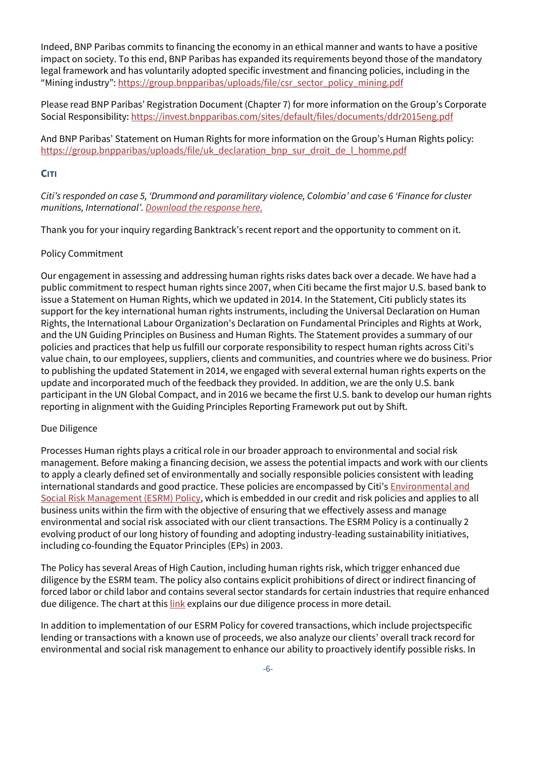Indeed, BNP Paribas commits to financing the economy in an ethical manner and wants to have a positive impact on society. To this end, BNP Paribas has expanded its requirements beyond those of the mandatory legal framework and has voluntarily adopted specific investment and financing policies, including in the "Mining industry": [https://group.bnpparibas/uploads/file/csr\\_sector\\_policy\\_mining.pdf](https://group.bnpparibas/uploads/file/csr_sector_policy_mining.pdf)

Please read BNP Paribas' Registration Document (Chapter 7) for more information on the Group's Corporate Social Responsibility[: https://invest.bnpparibas.com/sites/default/files/documents/ddr2015eng.pdf](https://invest.bnpparibas.com/sites/default/files/documents/ddr2015eng.pdf)

And BNP Paribas' Statement on Human Rights for more information on the Group's Human Rights policy: [https://group.bnpparibas/uploads/file/uk\\_declaration\\_bnp\\_sur\\_droit\\_de\\_l\\_homme.pdf](https://group.bnpparibas/uploads/file/uk_declaration_bnp_sur_droit_de_l_homme.pdf)

#### <span id="page-5-0"></span>**CITI**

*Citi's responded on case 5, 'Drummond and paramilitary violence, Colombia' and case 6 'Finance for cluster munitions, International'[. Download the response here.](https://business-humanrights.org/sites/default/files/documents/BHRRC%20-%20Citi%20response%20-%20FINAL%201.17.2018_0.pdf)*

Thank you for your inquiry regarding Banktrack's recent report and the opportunity to comment on it.

#### Policy Commitment

Our engagement in assessing and addressing human rights risks dates back over a decade. We have had a public commitment to respect human rights since 2007, when Citi became the first major U.S. based bank to issue a Statement on Human Rights, which we updated in 2014. In the Statement, Citi publicly states its support for the key international human rights instruments, including the Universal Declaration on Human Rights, the International Labour Organization's Declaration on Fundamental Principles and Rights at Work, and the UN Guiding Principles on Business and Human Rights. The Statement provides a summary of our policies and practices that help us fulfill our corporate responsibility to respect human rights across Citi's value chain, to our employees, suppliers, clients and communities, and countries where we do business. Prior to publishing the updated Statement in 2014, we engaged with several external human rights experts on the update and incorporated much of the feedback they provided. In addition, we are the only U.S. bank participant in the UN Global Compact, and in 2016 we became the first U.S. bank to develop our human rights reporting in alignment with the Guiding Principles Reporting Framework put out by Shift.

#### Due Diligence

Processes Human rights plays a critical role in our broader approach to environmental and social risk management. Before making a financing decision, we assess the potential impacts and work with our clients to apply a clearly defined set of environmentally and socially responsible policies consistent with leading international standards and good practice. These policies are encompassed by Citi's **Environmental and** [Social Risk Management \(ESRM\) Policy,](http://www.citigroup.com/citi/sustainability/policies.htm) which is embedded in our credit and risk policies and applies to all business units within the firm with the objective of ensuring that we effectively assess and manage environmental and social risk associated with our client transactions. The ESRM Policy is a continually 2 evolving product of our long history of founding and adopting industry-leading sustainability initiatives, including co-founding the Equator Principles (EPs) in 2003.

The Policy has several Areas of High Caution, including human rights risk, which trigger enhanced due diligence by the ESRM team. The policy also contains explicit prohibitions of direct or indirect financing of forced labor or child labor and contains several sector standards for certain industries that require enhanced due diligence. The chart at thi[s link](http://www.citigroup.com/citi/sustainability/data/equator_principles_approval_flowchart.pdf?ieNocache=918) explains our due diligence process in more detail.

In addition to implementation of our ESRM Policy for covered transactions, which include projectspecific lending or transactions with a known use of proceeds, we also analyze our clients' overall track record for environmental and social risk management to enhance our ability to proactively identify possible risks. In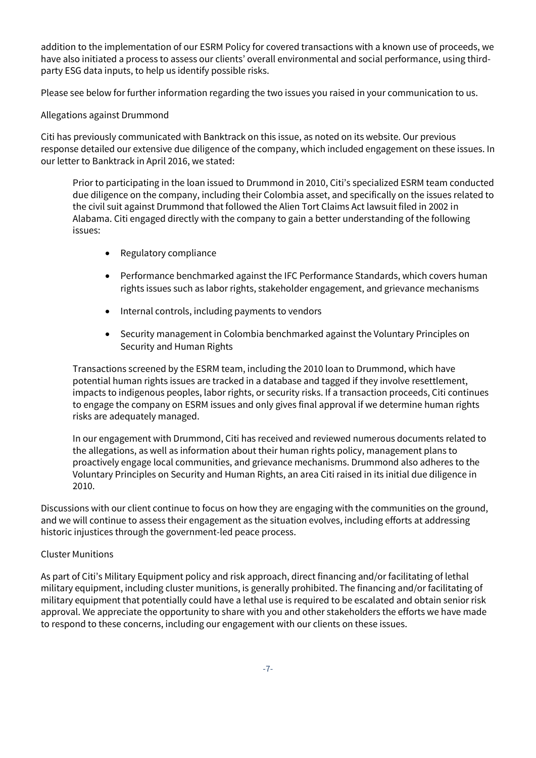addition to the implementation of our ESRM Policy for covered transactions with a known use of proceeds, we have also initiated a process to assess our clients' overall environmental and social performance, using thirdparty ESG data inputs, to help us identify possible risks.

Please see below for further information regarding the two issues you raised in your communication to us.

Allegations against Drummond

Citi has previously communicated with Banktrack on this issue, as noted on its website. Our previous response detailed our extensive due diligence of the company, which included engagement on these issues. In our letter to Banktrack in April 2016, we stated:

Prior to participating in the loan issued to Drummond in 2010, Citi's specialized ESRM team conducted due diligence on the company, including their Colombia asset, and specifically on the issues related to the civil suit against Drummond that followed the Alien Tort Claims Act lawsuit filed in 2002 in Alabama. Citi engaged directly with the company to gain a better understanding of the following issues:

- Regulatory compliance
- Performance benchmarked against the IFC Performance Standards, which covers human rights issues such as labor rights, stakeholder engagement, and grievance mechanisms
- Internal controls, including payments to vendors
- Security management in Colombia benchmarked against the Voluntary Principles on Security and Human Rights

Transactions screened by the ESRM team, including the 2010 loan to Drummond, which have potential human rights issues are tracked in a database and tagged if they involve resettlement, impacts to indigenous peoples, labor rights, or security risks. If a transaction proceeds, Citi continues to engage the company on ESRM issues and only gives final approval if we determine human rights risks are adequately managed.

In our engagement with Drummond, Citi has received and reviewed numerous documents related to the allegations, as well as information about their human rights policy, management plans to proactively engage local communities, and grievance mechanisms. Drummond also adheres to the Voluntary Principles on Security and Human Rights, an area Citi raised in its initial due diligence in 2010.

Discussions with our client continue to focus on how they are engaging with the communities on the ground, and we will continue to assess their engagement as the situation evolves, including efforts at addressing historic injustices through the government-led peace process.

#### Cluster Munitions

As part of Citi's Military Equipment policy and risk approach, direct financing and/or facilitating of lethal military equipment, including cluster munitions, is generally prohibited. The financing and/or facilitating of military equipment that potentially could have a lethal use is required to be escalated and obtain senior risk approval. We appreciate the opportunity to share with you and other stakeholders the efforts we have made to respond to these concerns, including our engagement with our clients on these issues.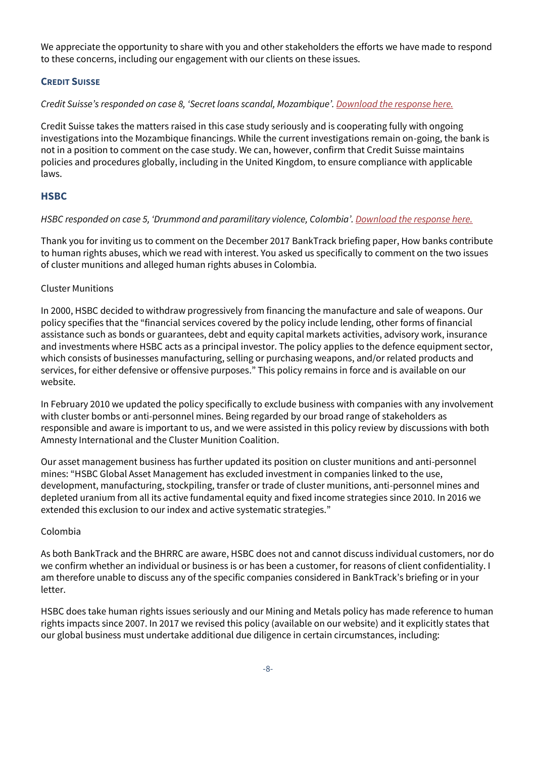We appreciate the opportunity to share with you and other stakeholders the efforts we have made to respond to these concerns, including our engagement with our clients on these issues.

#### <span id="page-7-0"></span>**CREDIT SUISSE**

*Credit Suisse's responded on case 8, 'Secret loans scandal, Mozambique'[. Download the response here.](https://business-humanrights.org/sites/default/files/documents/180115%20Credit%20Suisse%20response%20to%20BHRRC_1.pdf)*

Credit Suisse takes the matters raised in this case study seriously and is cooperating fully with ongoing investigations into the Mozambique financings. While the current investigations remain on-going, the bank is not in a position to comment on the case study. We can, however, confirm that Credit Suisse maintains policies and procedures globally, including in the United Kingdom, to ensure compliance with applicable laws.

#### <span id="page-7-1"></span>**HSBC**

#### *HSBC responded on case 5, 'Drummond and paramilitary violence, Colombia'. [Download the response here.](https://www.business-humanrights.org/sites/default/files/documents/HSBC%20response_15%20Jan%202018_0.pdf)*

Thank you for inviting us to comment on the December 2017 BankTrack briefing paper, How banks contribute to human rights abuses, which we read with interest. You asked us specifically to comment on the two issues of cluster munitions and alleged human rights abuses in Colombia.

#### Cluster Munitions

In 2000, HSBC decided to withdraw progressively from financing the manufacture and sale of weapons. Our policy specifies that the "financial services covered by the policy include lending, other forms of financial assistance such as bonds or guarantees, debt and equity capital markets activities, advisory work, insurance and investments where HSBC acts as a principal investor. The policy applies to the defence equipment sector, which consists of businesses manufacturing, selling or purchasing weapons, and/or related products and services, for either defensive or offensive purposes." This policy remains in force and is available on our website.

In February 2010 we updated the policy specifically to exclude business with companies with any involvement with cluster bombs or anti-personnel mines. Being regarded by our broad range of stakeholders as responsible and aware is important to us, and we were assisted in this policy review by discussions with both Amnesty International and the Cluster Munition Coalition.

Our asset management business has further updated its position on cluster munitions and anti-personnel mines: "HSBC Global Asset Management has excluded investment in companies linked to the use, development, manufacturing, stockpiling, transfer or trade of cluster munitions, anti-personnel mines and depleted uranium from all its active fundamental equity and fixed income strategies since 2010. In 2016 we extended this exclusion to our index and active systematic strategies."

#### Colombia

As both BankTrack and the BHRRC are aware, HSBC does not and cannot discuss individual customers, nor do we confirm whether an individual or business is or has been a customer, for reasons of client confidentiality. I am therefore unable to discuss any of the specific companies considered in BankTrack's briefing or in your letter.

HSBC does take human rights issues seriously and our Mining and Metals policy has made reference to human rights impacts since 2007. In 2017 we revised this policy (available on our website) and it explicitly states that our global business must undertake additional due diligence in certain circumstances, including: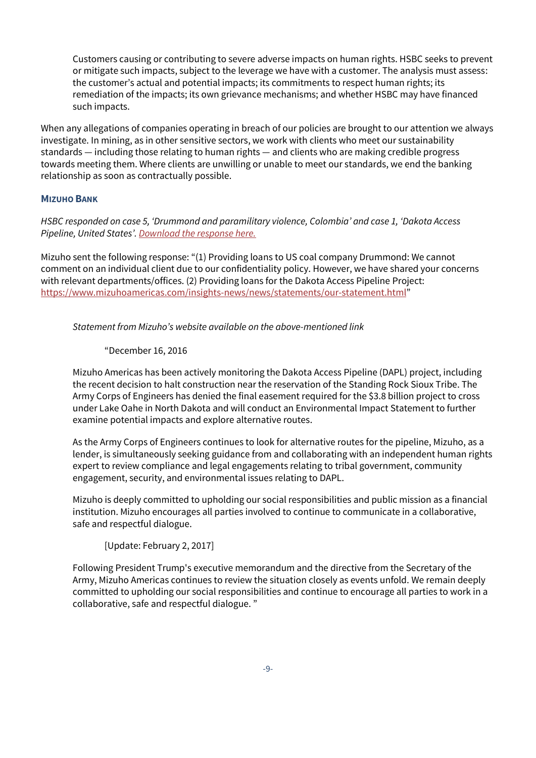Customers causing or contributing to severe adverse impacts on human rights. HSBC seeks to prevent or mitigate such impacts, subject to the leverage we have with a customer. The analysis must assess: the customer's actual and potential impacts; its commitments to respect human rights; its remediation of the impacts; its own grievance mechanisms; and whether HSBC may have financed such impacts.

When any allegations of companies operating in breach of our policies are brought to our attention we always investigate. In mining, as in other sensitive sectors, we work with clients who meet our sustainability standards — including those relating to human rights — and clients who are making credible progress towards meeting them. Where clients are unwilling or unable to meet our standards, we end the banking relationship as soon as contractually possible.

#### <span id="page-8-0"></span>**MIZUHO BANK**

*HSBC responded on case 5, 'Drummond and paramilitary violence, Colombia' and case 1, 'Dakota Access Pipeline, United States'[. Download the response here.](https://www.business-humanrights.org/sites/default/files/documents/Mizuho%20Bank%27s%20response_15%20January%202018_0.pdf)*

Mizuho sent the following response: "(1) Providing loans to US coal company Drummond: We cannot comment on an individual client due to our confidentiality policy. However, we have shared your concerns with relevant departments/offices. (2) Providing loans for the Dakota Access Pipeline Project: <https://www.mizuhoamericas.com/insights-news/news/statements/our-statement.html>"

*Statement from Mizuho's website available on the above-mentioned link*

#### "December 16, 2016

Mizuho Americas has been actively monitoring the Dakota Access Pipeline (DAPL) project, including the recent decision to halt construction near the reservation of the Standing Rock Sioux Tribe. The Army Corps of Engineers has denied the final easement required for the \$3.8 billion project to cross under Lake Oahe in North Dakota and will conduct an Environmental Impact Statement to further examine potential impacts and explore alternative routes.

As the Army Corps of Engineers continues to look for alternative routes for the pipeline, Mizuho, as a lender, is simultaneously seeking guidance from and collaborating with an independent human rights expert to review compliance and legal engagements relating to tribal government, community engagement, security, and environmental issues relating to DAPL.

Mizuho is deeply committed to upholding our social responsibilities and public mission as a financial institution. Mizuho encourages all parties involved to continue to communicate in a collaborative, safe and respectful dialogue.

[Update: February 2, 2017]

Following President Trump's [executive memorandum](https://www.whitehouse.gov/the-press-office/2017/01/24/presidential-memorandum-regarding-construction-dakota-access-pipeline) and the directive [from the Secretary of the](https://www.hoeven.senate.gov/news/news-releases/hoeven-secretary-of-the-army-speer-directs-corps-to-proceed-with-easement-for-the-dakota-access-pipeline)  [Army,](https://www.hoeven.senate.gov/news/news-releases/hoeven-secretary-of-the-army-speer-directs-corps-to-proceed-with-easement-for-the-dakota-access-pipeline) Mizuho Americas continues to review the situation closely as events unfold. We remain deeply committed to upholding our social responsibilities and continue to encourage all parties to work in a collaborative, safe and respectful dialogue. "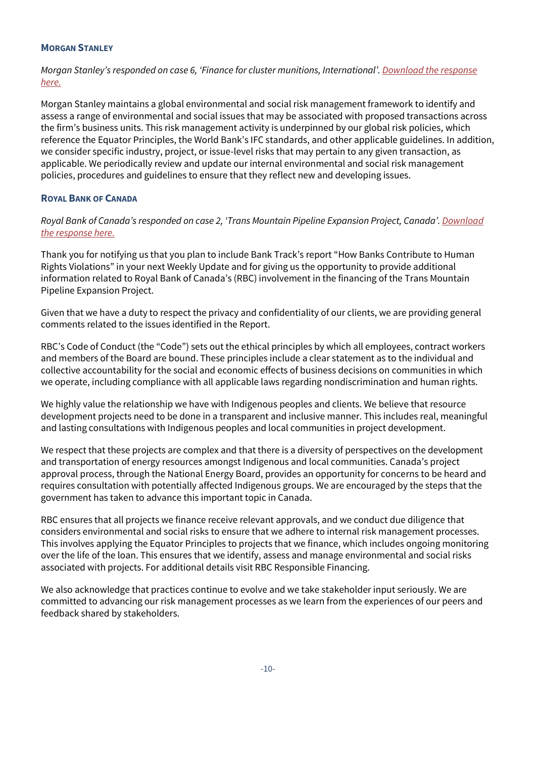#### <span id="page-9-0"></span>**MORGAN STANLEY**

*Morgan Stanley's responded on case 6, 'Finance for cluster munitions, International'. [Download the response](https://business-humanrights.org/sites/default/files/documents/Morgan%20Stanley%20response_12%20January%202018_1.pdf)  [here.](https://business-humanrights.org/sites/default/files/documents/Morgan%20Stanley%20response_12%20January%202018_1.pdf)*

Morgan Stanley maintains a global environmental and social risk management framework to identify and assess a range of environmental and social issues that may be associated with proposed transactions across the firm's business units. This risk management activity is underpinned by our global risk policies, which reference the Equator Principles, the World Bank's IFC standards, and other applicable guidelines. In addition, we consider specific industry, project, or issue-level risks that may pertain to any given transaction, as applicable. We periodically review and update our internal environmental and social risk management policies, procedures and guidelines to ensure that they reflect new and developing issues.

#### <span id="page-9-1"></span>**ROYAL BANK OF CANADA**

*Royal Bank of Canada's responded on case 2, 'Trans Mountain Pipeline Expansion Project, Canada'[. Download](https://business-humanrights.org/sites/default/files/documents/RBC%20response_18%20Jan%202018_0.pdf)  [the response here.](https://business-humanrights.org/sites/default/files/documents/RBC%20response_18%20Jan%202018_0.pdf)*

Thank you for notifying us that you plan to include Bank Track's report "How Banks Contribute to Human Rights Violations" in your next Weekly Update and for giving us the opportunity to provide additional information related to Royal Bank of Canada's (RBC) involvement in the financing of the Trans Mountain Pipeline Expansion Project.

Given that we have a duty to respect the privacy and confidentiality of our clients, we are providing general comments related to the issues identified in the Report.

RBC's Code of Conduct (the "Code") sets out the ethical principles by which all employees, contract workers and members of the Board are bound. These principles include a clear statement as to the individual and collective accountability for the social and economic effects of business decisions on communities in which we operate, including compliance with all applicable laws regarding nondiscrimination and human rights.

We highly value the relationship we have with Indigenous peoples and clients. We believe that resource development projects need to be done in a transparent and inclusive manner. This includes real, meaningful and lasting consultations with Indigenous peoples and local communities in project development.

We respect that these projects are complex and that there is a diversity of perspectives on the development and transportation of energy resources amongst Indigenous and local communities. Canada's project approval process, through the National Energy Board, provides an opportunity for concerns to be heard and requires consultation with potentially affected Indigenous groups. We are encouraged by the steps that the government has taken to advance this important topic in Canada.

RBC ensures that all projects we finance receive relevant approvals, and we conduct due diligence that considers environmental and social risks to ensure that we adhere to internal risk management processes. This involves applying the Equator Principles to projects that we finance, which includes ongoing monitoring over the life of the loan. This ensures that we identify, assess and manage environmental and social risks associated with projects. For additional details visit RBC Responsible Financing.

We also acknowledge that practices continue to evolve and we take stakeholder input seriously. We are committed to advancing our risk management processes as we learn from the experiences of our peers and feedback shared by stakeholders.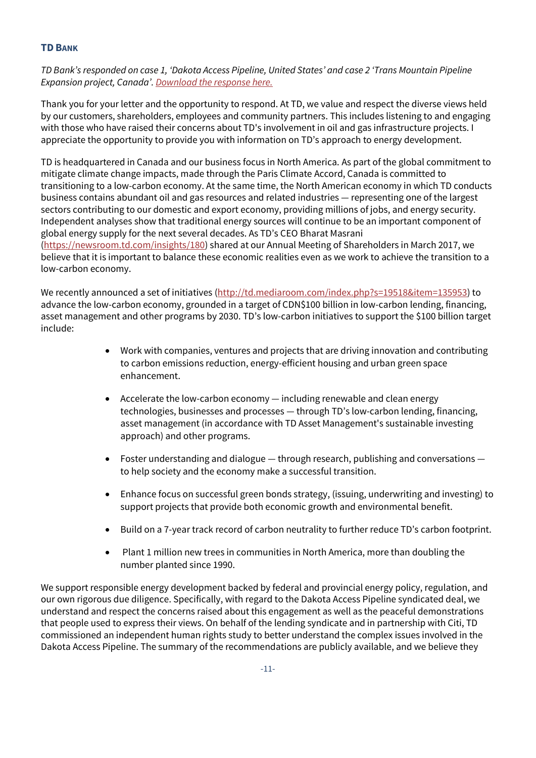#### <span id="page-10-0"></span>**TD BANK**

*TD Bank's responded on case 1, 'Dakota Access Pipeline, United States' and case 2 'Trans Mountain Pipeline Expansion project, Canada'. [Download the response here.](https://www.business-humanrights.org/sites/default/files/documents/TD%20Bank%20response_15%20Jan%202018_1.pdf)*

Thank you for your letter and the opportunity to respond. At TD, we value and respect the diverse views held by our customers, shareholders, employees and community partners. This includes listening to and engaging with those who have raised their concerns about TD's involvement in oil and gas infrastructure projects. I appreciate the opportunity to provide you with information on TD's approach to energy development.

TD is headquartered in Canada and our business focus in North America. As part of the global commitment to mitigate climate change impacts, made through the Paris Climate Accord, Canada is committed to transitioning to a low-carbon economy. At the same time, the North American economy in which TD conducts business contains abundant oil and gas resources and related industries — representing one of the largest sectors contributing to our domestic and export economy, providing millions of jobs, and energy security. Independent analyses show that traditional energy sources will continue to be an important component of global energy supply for the next several decades. As TD's CEO Bharat Masrani [\(https://newsroom.td.com/insights/180\)](https://newsroom.td.com/insights/180) shared at our Annual Meeting of Shareholders in March 2017, we believe that it is important to balance these economic realities even as we work to achieve the transition to a low-carbon economy.

We recently announced a set of initiatives [\(http://td.mediaroom.com/index.php?s=19518&item=135953\)](http://td.mediaroom.com/index.php?s=19518&item=135953) to advance the low-carbon economy, grounded in a target of CDN\$100 billion in low-carbon lending, financing, asset management and other programs by 2030. TD's low-carbon initiatives to support the \$100 billion target include:

- Work with companies, ventures and projects that are driving innovation and contributing to carbon emissions reduction, energy-efficient housing and urban green space enhancement.
- Accelerate the low-carbon economy including renewable and clean energy technologies, businesses and processes — through TD's low-carbon lending, financing, asset management (in accordance with TD Asset Management's sustainable investing approach) and other programs.
- Foster understanding and dialogue  $-$  through research, publishing and conversations  $$ to help society and the economy make a successful transition.
- Enhance focus on successful green bonds strategy, (issuing, underwriting and investing) to support projects that provide both economic growth and environmental benefit.
- Build on a 7-year track record of carbon neutrality to further reduce TD's carbon footprint.
- Plant 1 million new trees in communities in North America, more than doubling the number planted since 1990.

We support responsible energy development backed by federal and provincial energy policy, regulation, and our own rigorous due diligence. Specifically, with regard to the Dakota Access Pipeline syndicated deal, we understand and respect the concerns raised about this engagement as well as the peaceful demonstrations that people used to express their views. On behalf of the lending syndicate and in partnership with Citi, TD commissioned an independent human rights study to better understand the complex issues involved in the Dakota Access Pipeline. The summary of the recommendations are publicly available, and we believe they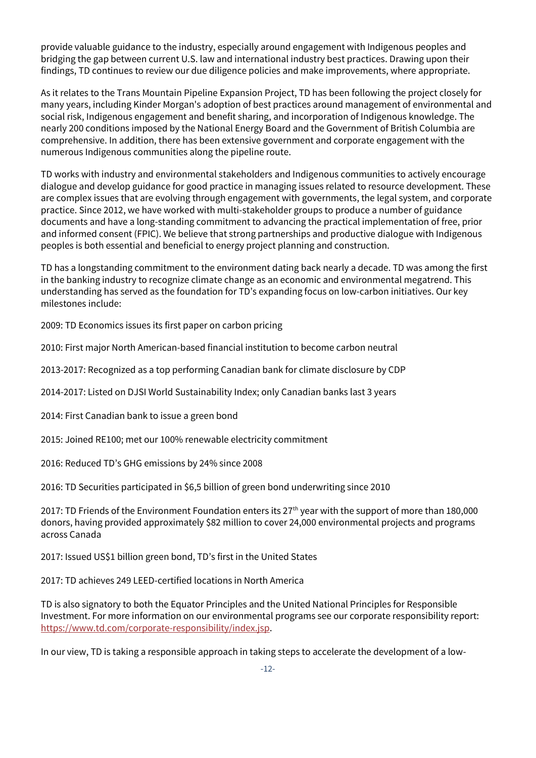provide valuable guidance to the industry, especially around engagement with Indigenous peoples and bridging the gap between current U.S. law and international industry best practices. Drawing upon their findings, TD continues to review our due diligence policies and make improvements, where appropriate.

As it relates to the Trans Mountain Pipeline Expansion Project, TD has been following the project closely for many years, including Kinder Morgan's adoption of best practices around management of environmental and social risk, Indigenous engagement and benefit sharing, and incorporation of Indigenous knowledge. The nearly 200 conditions imposed by the National Energy Board and the Government of British Columbia are comprehensive. In addition, there has been extensive government and corporate engagement with the numerous Indigenous communities along the pipeline route.

TD works with industry and environmental stakeholders and Indigenous communities to actively encourage dialogue and develop guidance for good practice in managing issues related to resource development. These are complex issues that are evolving through engagement with governments, the legal system, and corporate practice. Since 2012, we have worked with multi-stakeholder groups to produce a number of guidance documents and have a long-standing commitment to advancing the practical implementation of free, prior and informed consent (FPIC). We believe that strong partnerships and productive dialogue with Indigenous peoples is both essential and beneficial to energy project planning and construction.

TD has a longstanding commitment to the environment dating back nearly a decade. TD was among the first in the banking industry to recognize climate change as an economic and environmental megatrend. This understanding has served as the foundation for TD's expanding focus on low-carbon initiatives. Our key milestones include:

2009: TD Economics issues its first paper on carbon pricing

2010: First major North American-based financial institution to become carbon neutral

2013-2017: Recognized as a top performing Canadian bank for climate disclosure by CDP

2014-2017: Listed on DJSI World Sustainability Index; only Canadian banks last 3 years

2014: First Canadian bank to issue a green bond

2015: Joined RE100; met our 100% renewable electricity commitment

2016: Reduced TD's GHG emissions by 24% since 2008

2016: TD Securities participated in \$6,5 billion of green bond underwriting since 2010

2017: TD Friends of the Environment Foundation enters its 27<sup>th</sup> year with the support of more than 180,000 donors, having provided approximately \$82 million to cover 24,000 environmental projects and programs across Canada

2017: Issued US\$1 billion green bond, TD's first in the United States

2017: TD achieves 249 LEED-certified locations in North America

TD is also signatory to both the Equator Principles and the United National Principles for Responsible Investment. For more information on our environmental programs see our corporate responsibility report: [https://www.td.com/corporate-responsibility/index.jsp.](https://www.td.com/corporate-responsibility/index.jsp)

In our view, TD is taking a responsible approach in taking steps to accelerate the development of a low-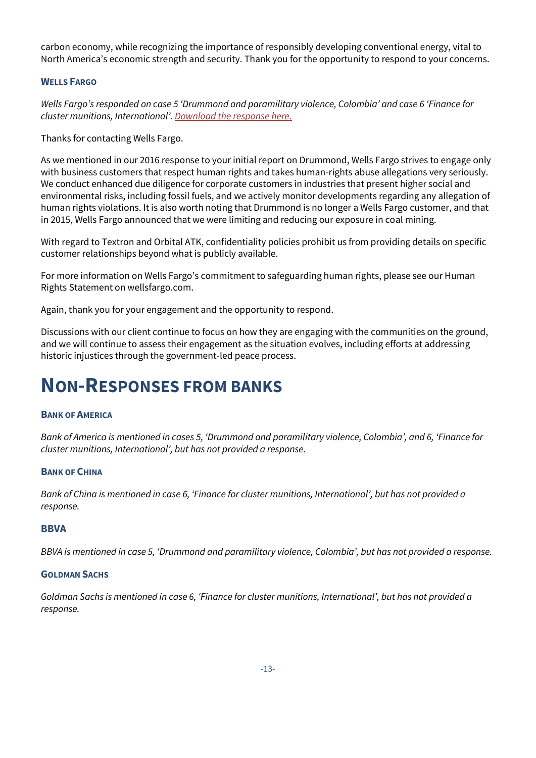carbon economy, while recognizing the importance of responsibly developing conventional energy, vital to North America's economic strength and security. Thank you for the opportunity to respond to your concerns.

#### <span id="page-12-0"></span>**WELLS FARGO**

*Wells Fargo's responded on case 5 'Drummond and paramilitary violence, Colombia' and case 6 'Finance for cluster munitions, International'. [Download the response here.](https://business-humanrights.org/sites/default/files/documents/Wells%20Fargo%20Response_Jan%2023%202018.pdf)*

Thanks for contacting Wells Fargo.

As we mentioned in our 2016 response to your initial report on Drummond, Wells Fargo strives to engage only with business customers that respect human rights and takes human-rights abuse allegations very seriously. We conduct enhanced due diligence for corporate customers in industries that present higher social and environmental risks, including fossil fuels, and we actively monitor developments regarding any allegation of human rights violations. It is also worth noting that Drummond is no longer a Wells Fargo customer, and that in 2015, Wells Fargo announced that we were limiting and reducing our exposure in coal mining.

With regard to Textron and Orbital ATK, confidentiality policies prohibit us from providing details on specific customer relationships beyond what is publicly available.

For more information on Wells Fargo's commitment to safeguarding human rights, please see our Human Rights Statement on wellsfargo.com.

Again, thank you for your engagement and the opportunity to respond.

Discussions with our client continue to focus on how they are engaging with the communities on the ground, and we will continue to assess their engagement as the situation evolves, including efforts at addressing historic injustices through the government-led peace process.

## <span id="page-12-1"></span>**NON-RESPONSES FROM BANKS**

#### <span id="page-12-2"></span>**BANK OF AMERICA**

*Bank of America is mentioned in cases 5, 'Drummond and paramilitary violence, Colombia', and 6, 'Finance for cluster munitions, International', but has not provided a response.*

#### <span id="page-12-3"></span>**BANK OF CHINA**

*Bank of China is mentioned in case 6, 'Finance for cluster munitions, International', but has not provided a response.*

#### <span id="page-12-4"></span>**BBVA**

*BBVA is mentioned in case 5, 'Drummond and paramilitary violence, Colombia', but has not provided a response.*

#### <span id="page-12-5"></span>**GOLDMAN SACHS**

*Goldman Sachs is mentioned in case 6, 'Finance for cluster munitions, International', but has not provided a response.*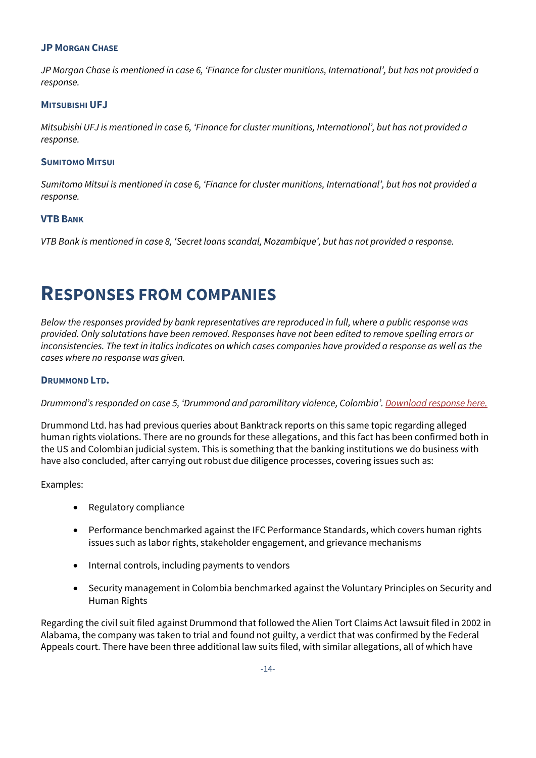#### <span id="page-13-0"></span>**JP MORGAN CHASE**

*JP Morgan Chase is mentioned in case 6, 'Finance for cluster munitions, International', but has not provided a response.* 

#### <span id="page-13-1"></span>**MITSUBISHI UFJ**

*Mitsubishi UFJ is mentioned in case 6, 'Finance for cluster munitions, International', but has not provided a response.* 

#### <span id="page-13-2"></span>**SUMITOMO MITSUI**

*Sumitomo Mitsui is mentioned in case 6, 'Finance for cluster munitions, International', but has not provided a response.* 

#### <span id="page-13-3"></span>**VTB BANK**

*VTB Bank is mentioned in case 8, 'Secret loans scandal, Mozambique', but has not provided a response.* 

## <span id="page-13-4"></span>**RESPONSES FROM COMPANIES**

*Below the responses provided by bank representatives are reproduced in full, where a public response was provided. Only salutations have been removed. Responses have not been edited to remove spelling errors or inconsistencies. The text in italics indicates on which cases companies have provided a response as well as the cases where no response was given.*

#### <span id="page-13-5"></span>**DRUMMOND LTD.**

#### *Drummond's responded on case 5, 'Drummond and paramilitary violence, Colombia'. [Download response here.](https://business-humanrights.org/sites/default/files/documents/Drummond%20response_18%20Jan%202018_1.pdf)*

Drummond Ltd. has had previous queries about Banktrack reports on this same topic regarding alleged human rights violations. There are no grounds for these allegations, and this fact has been confirmed both in the US and Colombian judicial system. This is something that the banking institutions we do business with have also concluded, after carrying out robust due diligence processes, covering issues such as:

Examples:

- Regulatory compliance
- Performance benchmarked against the IFC Performance Standards, which covers human rights issues such as labor rights, stakeholder engagement, and grievance mechanisms
- Internal controls, including payments to vendors
- Security management in Colombia benchmarked against the Voluntary Principles on Security and Human Rights

Regarding the civil suit filed against Drummond that followed the Alien Tort Claims Act lawsuit filed in 2002 in Alabama, the company was taken to trial and found not guilty, a verdict that was confirmed by the Federal Appeals court. There have been three additional law suits filed, with similar allegations, all of which have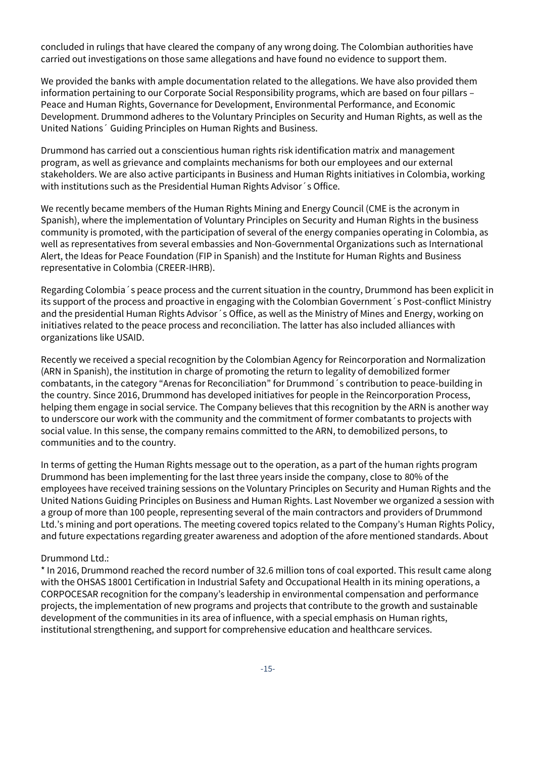concluded in rulings that have cleared the company of any wrong doing. The Colombian authorities have carried out investigations on those same allegations and have found no evidence to support them.

We provided the banks with ample documentation related to the allegations. We have also provided them information pertaining to our Corporate Social Responsibility programs, which are based on four pillars – Peace and Human Rights, Governance for Development, Environmental Performance, and Economic Development. Drummond adheres to the Voluntary Principles on Security and Human Rights, as well as the United Nations´ Guiding Principles on Human Rights and Business.

Drummond has carried out a conscientious human rights risk identification matrix and management program, as well as grievance and complaints mechanisms for both our employees and our external stakeholders. We are also active participants in Business and Human Rights initiatives in Colombia, working with institutions such as the Presidential Human Rights Advisor´s Office.

We recently became members of the Human Rights Mining and Energy Council (CME is the acronym in Spanish), where the implementation of Voluntary Principles on Security and Human Rights in the business community is promoted, with the participation of several of the energy companies operating in Colombia, as well as representatives from several embassies and Non-Governmental Organizations such as International Alert, the Ideas for Peace Foundation (FIP in Spanish) and the Institute for Human Rights and Business representative in Colombia (CREER-IHRB).

Regarding Colombia´s peace process and the current situation in the country, Drummond has been explicit in its support of the process and proactive in engaging with the Colombian Government´s Post-conflict Ministry and the presidential Human Rights Advisor´s Office, as well as the Ministry of Mines and Energy, working on initiatives related to the peace process and reconciliation. The latter has also included alliances with organizations like USAID.

Recently we received a special recognition by the Colombian Agency for Reincorporation and Normalization (ARN in Spanish), the institution in charge of promoting the return to legality of demobilized former combatants, in the category "Arenas for Reconciliation" for Drummond´s contribution to peace-building in the country. Since 2016, Drummond has developed initiatives for people in the Reincorporation Process, helping them engage in social service. The Company believes that this recognition by the ARN is another way to underscore our work with the community and the commitment of former combatants to projects with social value. In this sense, the company remains committed to the ARN, to demobilized persons, to communities and to the country.

In terms of getting the Human Rights message out to the operation, as a part of the human rights program Drummond has been implementing for the last three years inside the company, close to 80% of the employees have received training sessions on the Voluntary Principles on Security and Human Rights and the United Nations Guiding Principles on Business and Human Rights. Last November we organized a session with a group of more than 100 people, representing several of the main contractors and providers of Drummond Ltd.'s mining and port operations. The meeting covered topics related to the Company's Human Rights Policy, and future expectations regarding greater awareness and adoption of the afore mentioned standards. About

#### Drummond Ltd.:

\* In 2016, Drummond reached the record number of 32.6 million tons of coal exported. This result came along with the OHSAS 18001 Certification in Industrial Safety and Occupational Health in its mining operations, a CORPOCESAR recognition for the company's leadership in environmental compensation and performance projects, the implementation of new programs and projects that contribute to the growth and sustainable development of the communities in its area of influence, with a special emphasis on Human rights, institutional strengthening, and support for comprehensive education and healthcare services.